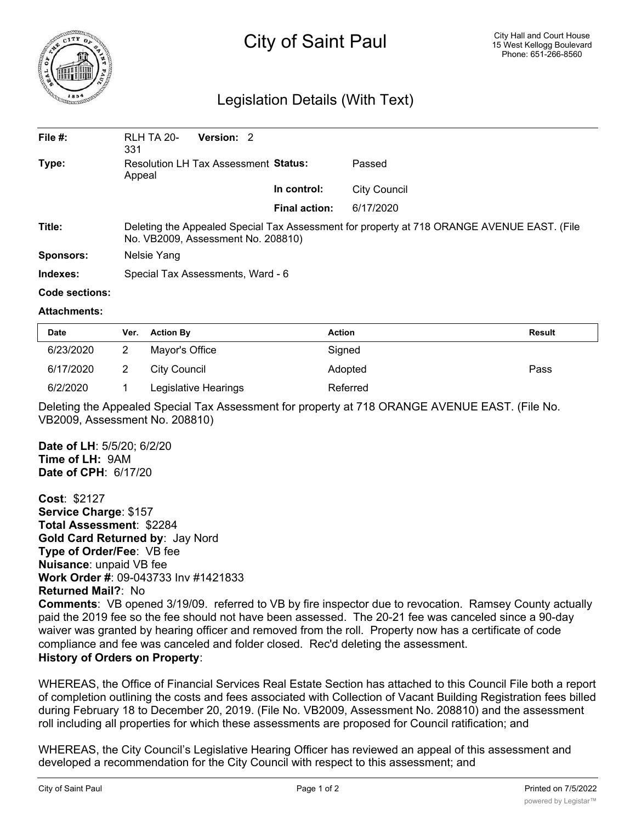

## City of Saint Paul

## Legislation Details (With Text)

| File $#$ :       | <b>RLH TA 20-</b><br>331                                                                                                         | Version: 2 |                      |              |  |  |
|------------------|----------------------------------------------------------------------------------------------------------------------------------|------------|----------------------|--------------|--|--|
| Type:            | Resolution LH Tax Assessment Status:<br>Appeal                                                                                   |            |                      | Passed       |  |  |
|                  |                                                                                                                                  |            | In control:          | City Council |  |  |
|                  |                                                                                                                                  |            | <b>Final action:</b> | 6/17/2020    |  |  |
| Title:           | Deleting the Appealed Special Tax Assessment for property at 718 ORANGE AVENUE EAST. (File<br>No. VB2009, Assessment No. 208810) |            |                      |              |  |  |
| <b>Sponsors:</b> | Nelsie Yang                                                                                                                      |            |                      |              |  |  |
| Indexes:         | Special Tax Assessments, Ward - 6                                                                                                |            |                      |              |  |  |

## **Code sections:**

## **Attachments:**

| <b>Date</b> | Ver. | <b>Action By</b>     | <b>Action</b> | Result |
|-------------|------|----------------------|---------------|--------|
| 6/23/2020   |      | Mayor's Office       | Signed        |        |
| 6/17/2020   |      | City Council         | Adopted       | Pass   |
| 6/2/2020    |      | Legislative Hearings | Referred      |        |

Deleting the Appealed Special Tax Assessment for property at 718 ORANGE AVENUE EAST. (File No. VB2009, Assessment No. 208810)

**Date of LH**: 5/5/20; 6/2/20 **Time of LH:** 9AM **Date of CPH**: 6/17/20

**Cost**: \$2127 **Service Charge**: \$157 **Total Assessment**: \$2284 **Gold Card Returned by**: Jay Nord **Type of Order/Fee**: VB fee **Nuisance**: unpaid VB fee **Work Order #**: 09-043733 Inv #1421833 **Returned Mail?**: No

**Comments**: VB opened 3/19/09. referred to VB by fire inspector due to revocation. Ramsey County actually paid the 2019 fee so the fee should not have been assessed. The 20-21 fee was canceled since a 90-day waiver was granted by hearing officer and removed from the roll. Property now has a certificate of code compliance and fee was canceled and folder closed. Rec'd deleting the assessment. **History of Orders on Property**:

WHEREAS, the Office of Financial Services Real Estate Section has attached to this Council File both a report of completion outlining the costs and fees associated with Collection of Vacant Building Registration fees billed during February 18 to December 20, 2019. (File No. VB2009, Assessment No. 208810) and the assessment roll including all properties for which these assessments are proposed for Council ratification; and

WHEREAS, the City Council's Legislative Hearing Officer has reviewed an appeal of this assessment and developed a recommendation for the City Council with respect to this assessment; and